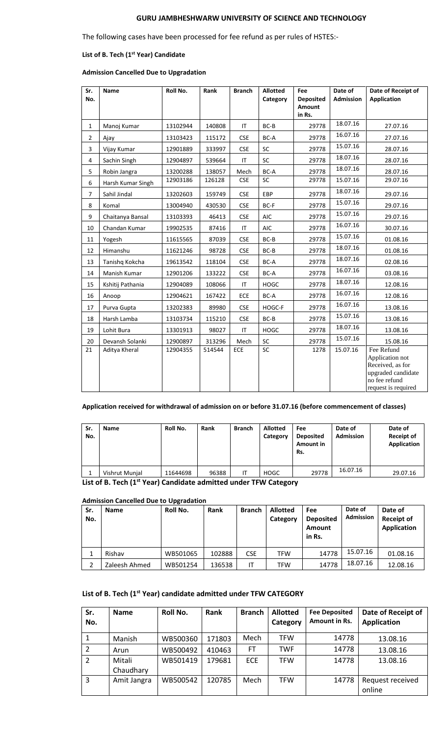# **GURU JAMBHESHWARW UNIVERSITY OF SCIENCE AND TECHNOLOGY**

The following cases have been processed for fee refund as per rules of HSTES:-

## **List of B. Tech (1st Year) Candidate**

## **Admission Cancelled Due to Upgradation**

| Sr.            | <b>Name</b>       | Roll No. | Rank   | <b>Branch</b> | <b>Allotted</b> | Fee                                  | Date of          | Date of Receipt of                  |
|----------------|-------------------|----------|--------|---------------|-----------------|--------------------------------------|------------------|-------------------------------------|
| No.            |                   |          |        |               | Category        | <b>Deposited</b><br>Amount<br>in Rs. | <b>Admission</b> | <b>Application</b>                  |
| $\mathbf{1}$   | Manoj Kumar       | 13102944 | 140808 | IT            | BC-B            | 29778                                | 18.07.16         | 27.07.16                            |
| $\overline{2}$ | Ajay              | 13103423 | 115172 | <b>CSE</b>    | BC-A            | 29778                                | 16.07.16         | 27.07.16                            |
| 3              | Vijay Kumar       | 12901889 | 333997 | <b>CSE</b>    | <b>SC</b>       | 29778                                | 15.07.16         | 28.07.16                            |
| 4              | Sachin Singh      | 12904897 | 539664 | IT            | SC              | 29778                                | 18.07.16         | 28.07.16                            |
| 5              | Robin Jangra      | 13200288 | 138057 | Mech          | BC-A            | 29778                                | 18.07.16         | 28.07.16                            |
| 6              | Harsh Kumar Singh | 12903186 | 126128 | <b>CSE</b>    | <b>SC</b>       | 29778                                | 15.07.16         | 29.07.16                            |
| $\overline{7}$ | Sahil Jindal      | 13202603 | 159749 | <b>CSE</b>    | <b>EBP</b>      | 29778                                | 18.07.16         | 29.07.16                            |
| 8              | Komal             | 13004940 | 430530 | <b>CSE</b>    | BC-F            | 29778                                | 15.07.16         | 29.07.16                            |
| 9              | Chaitanya Bansal  | 13103393 | 46413  | <b>CSE</b>    | <b>AIC</b>      | 29778                                | 15.07.16         | 29.07.16                            |
| 10             | Chandan Kumar     | 19902535 | 87416  | IT            | <b>AIC</b>      | 29778                                | 16.07.16         | 30.07.16                            |
| 11             | Yogesh            | 11615565 | 87039  | <b>CSE</b>    | BC-B            | 29778                                | 15.07.16         | 01.08.16                            |
| 12             | Himanshu          | 11621246 | 98728  | <b>CSE</b>    | BC-B            | 29778                                | 18.07.16         | 01.08.16                            |
| 13             | Tanishg Kokcha    | 19613542 | 118104 | <b>CSE</b>    | BC-A            | 29778                                | 18.07.16         | 02.08.16                            |
| 14             | Manish Kumar      | 12901206 | 133222 | <b>CSE</b>    | BC-A            | 29778                                | 16.07.16         | 03.08.16                            |
| 15             | Kshitij Pathania  | 12904089 | 108066 | ΙT            | <b>HOGC</b>     | 29778                                | 18.07.16         | 12.08.16                            |
| 16             | Anoop             | 12904621 | 167422 | ECE           | BC-A            | 29778                                | 16.07.16         | 12.08.16                            |
| 17             | Purva Gupta       | 13202383 | 89980  | <b>CSE</b>    | HOGC-F          | 29778                                | 16.07.16         | 13.08.16                            |
| 18             | Harsh Lamba       | 13103734 | 115210 | <b>CSE</b>    | $BC-B$          | 29778                                | 15.07.16         | 13.08.16                            |
| 19             | Lohit Bura        | 13301913 | 98027  | IT            | <b>HOGC</b>     | 29778                                | 18.07.16         | 13.08.16                            |
| 20             | Devansh Solanki   | 12900897 | 313296 | Mech          | SC              | 29778                                | 15.07.16         | 15.08.16                            |
| 21             | Aditya Kheral     | 12904355 | 514544 | ECE           | SC              | 1278                                 | 15.07.16         | Fee Refund                          |
|                |                   |          |        |               |                 |                                      |                  | Application not<br>Received, as for |
|                |                   |          |        |               |                 |                                      |                  | upgraded candidate                  |
|                |                   |          |        |               |                 |                                      |                  | no fee refund                       |
|                |                   |          |        |               |                 |                                      |                  | request is required                 |

#### **Application received for withdrawal of admission on or before 31.07.16 (before commencement of classes)**

| Sr.<br>No. | Name           | Roll No. | Rank  | <b>Branch</b> | <b>Allotted</b><br>Category | Fee<br><b>Deposited</b><br>Amount in<br>Rs. | Date of<br><b>Admission</b> | Date of<br><b>Receipt of</b><br>Application |
|------------|----------------|----------|-------|---------------|-----------------------------|---------------------------------------------|-----------------------------|---------------------------------------------|
|            | Vishrut Munjal | 11644698 | 96388 | <b>IT</b>     | <b>HOGC</b>                 | 29778                                       | 16.07.16                    | 29.07.16                                    |

## **List of B. Tech (1st Year) Candidate admitted under TFW Category**

#### **Admission Cancelled Due to Upgradation**

| Sr.<br>No. | <b>Name</b>   | Roll No. | Rank   | <b>Branch</b> | <b>Allotted</b><br>Category | Fee<br><b>Deposited</b><br>Amount<br>in Rs. | Date of<br>Admission | Date of<br><b>Receipt of</b><br><b>Application</b> |
|------------|---------------|----------|--------|---------------|-----------------------------|---------------------------------------------|----------------------|----------------------------------------------------|
|            | Rishav        | WB501065 | 102888 | <b>CSE</b>    | <b>TFW</b>                  | 14778                                       | 15.07.16             | 01.08.16                                           |
|            | Zaleesh Ahmed | WB501254 | 136538 | ıτ            | <b>TFW</b>                  | 14778                                       | 18.07.16             | 12.08.16                                           |

# **List of B. Tech (1st Year) candidate admitted under TFW CATEGORY**

| Sr.<br>No. | <b>Name</b>         | Roll No. | Rank   | <b>Branch</b> | <b>Allotted</b><br>Category | <b>Fee Deposited</b><br>Amount in Rs. | Date of Receipt of<br><b>Application</b> |
|------------|---------------------|----------|--------|---------------|-----------------------------|---------------------------------------|------------------------------------------|
|            | Manish              | WB500360 | 171803 | Mech          | <b>TFW</b>                  | 14778                                 | 13.08.16                                 |
| 2          | Arun                | WB500492 | 410463 | <b>FT</b>     | <b>TWF</b>                  | 14778                                 | 13.08.16                                 |
| 2          | Mitali<br>Chaudhary | WB501419 | 179681 | <b>ECE</b>    | <b>TFW</b>                  | 14778                                 | 13.08.16                                 |
| 3          | Amit Jangra         | WB500542 | 120785 | Mech          | <b>TFW</b>                  | 14778                                 | Request received<br>online               |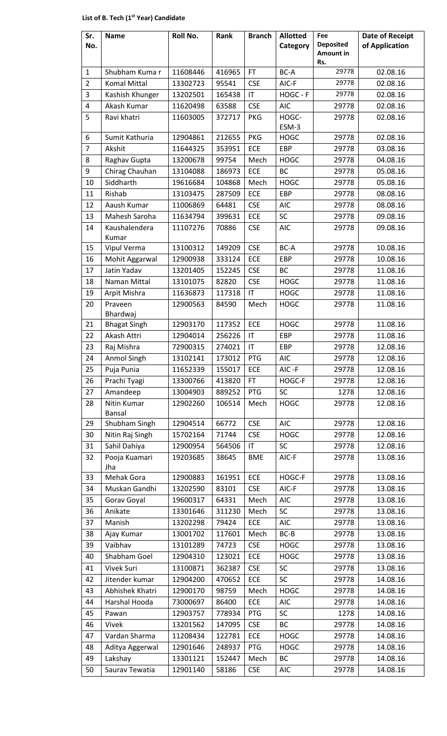# **List of B. Tech (1st Year) Candidate**

|                                                                                           | Amount in<br>Rs.                             | of Application       |
|-------------------------------------------------------------------------------------------|----------------------------------------------|----------------------|
| FT.<br>Shubham Kumar<br>11608446<br>416965<br>$\mathbf{1}$                                | 29778<br>BC-A                                | 02.08.16             |
| $\overline{2}$<br><b>CSE</b><br><b>Komal Mittal</b><br>13302723<br>95541                  | AIC-F<br>29778                               | 02.08.16             |
| 3<br>Kashish Khunger<br>13202501<br>165438<br>$\mathsf{I}\mathsf{T}$                      | HOGC - F<br>29778                            | 02.08.16             |
| $\overline{4}$<br>Akash Kumar<br><b>CSE</b><br>11620498<br>63588                          | <b>AIC</b><br>29778                          | 02.08.16             |
| 5<br>Ravi khatri<br><b>PKG</b><br>11603005<br>372717                                      | HOGC-<br>29778<br>ESM-3                      | 02.08.16             |
| <b>PKG</b><br>6<br>212655<br>Sumit Kathuria<br>12904861                                   | 29778<br><b>HOGC</b>                         | 02.08.16             |
| $\overline{7}$<br>ECE<br>Akshit<br>353951<br>11644325                                     | EBP<br>29778                                 | 03.08.16             |
| 8<br>Raghav Gupta<br>13200678<br>99754<br>Mech                                            | <b>HOGC</b><br>29778                         | 04.08.16             |
| 9<br>ECE<br>Chirag Chauhan<br>13104088<br>186973                                          | BC<br>29778                                  | 05.08.16             |
| Siddharth<br>10<br>19616684<br>104868<br>Mech                                             | <b>HOGC</b><br>29778                         | 05.08.16             |
| 11<br>Rishab<br>ECE<br>13103475<br>287509                                                 | EBP<br>29778                                 | 08.08.16             |
| Aaush Kumar<br><b>CSE</b><br>12<br>11006869<br>64481                                      | 29778<br><b>AIC</b>                          | 08.08.16             |
| SC<br>13<br>Mahesh Saroha<br>11634794<br>399631<br>ECE                                    | 29778                                        | 09.08.16             |
| <b>CSE</b><br>14<br>Kaushalendera<br>70886<br>11107276<br>Kumar                           | <b>AIC</b><br>29778                          | 09.08.16             |
| 13100312<br><b>CSE</b><br>15<br>Vipul Verma<br>149209                                     | BC-A<br>29778                                | 10.08.16             |
| 16<br>ECE<br>Mohit Aggarwal<br>12900938<br>333124                                         | EBP<br>29778                                 | 10.08.16             |
| Jatin Yadav<br>17<br>13201405<br>152245<br><b>CSE</b>                                     | <b>BC</b><br>29778                           | 11.08.16             |
| 18<br><b>CSE</b><br>13101075<br>82820<br>Naman Mittal                                     | <b>HOGC</b><br>29778                         | 11.08.16             |
| 19<br>Arpit Mishra<br>11636873<br>117318<br>IT                                            | <b>HOGC</b><br>29778                         | 11.08.16             |
| 20<br>Praveen<br>12900563<br>84590<br>Mech<br>Bhardwaj                                    | <b>HOGC</b><br>29778                         | 11.08.16             |
| 12903170<br>117352<br>ECE<br>21<br><b>Bhagat Singh</b>                                    | <b>HOGC</b><br>29778                         | 11.08.16             |
| 22<br>Akash Attri<br>256226<br>12904014<br>$\mathsf{I}\mathsf{T}$                         | EBP<br>29778                                 | 11.08.16             |
| 23<br>274021<br>IT<br>72900315<br>Raj Mishra                                              | EBP<br>29778                                 | 12.08.16             |
| 24<br>173012<br>PTG<br>Anmol Singh<br>13102141                                            | 29778<br>AIC                                 | 12.08.16             |
| 25<br>Puja Punia<br>11652339<br>155017<br>ECE                                             | AIC-F<br>29778                               | 12.08.16             |
| 26<br>FT.<br>Prachi Tyagi<br>13300766<br>413820                                           | HOGC-F<br>29778                              | 12.08.16             |
| 27<br>Amandeep<br>PTG<br>SC<br>13004903<br>889252                                         | 1278                                         | 12.08.16             |
| Nitin Kumar<br>28<br>106514<br>Mech<br>12902260<br>Bansal                                 | <b>HOGC</b><br>29778                         | 12.08.16             |
| Shubham Singh<br>12904514<br>29<br>66772<br><b>CSE</b>                                    | <b>AIC</b><br>29778                          | 12.08.16             |
| <b>CSE</b><br>30<br>71744<br>Nitin Raj Singh<br>15702164                                  | <b>HOGC</b><br>29778                         | 12.08.16             |
| Sahil Dahiya<br>31<br>12900954<br>564506<br>$\mathsf{I}\mathsf{T}$                        | <b>SC</b><br>29778                           | 12.08.16             |
| 32<br>Pooja Kuamari<br>19203685<br>38645<br><b>BME</b><br>Jha                             | AIC-F<br>29778                               | 13.08.16             |
| ECE<br>33<br>Mehak Gora<br>12900883<br>161951                                             | HOGC-F<br>29778                              | 13.08.16             |
| Muskan Gandhi<br>13202590<br>83101<br><b>CSE</b><br>34                                    | AIC-F<br>29778                               | 13.08.16             |
| Mech<br>35<br>Gorav Goyal<br>19600317<br>64331                                            | <b>AIC</b><br>29778                          | 13.08.16             |
| 36<br>Anikate<br>13301646<br>311230<br>Mech                                               | <b>SC</b><br>29778                           | 13.08.16             |
| 37<br>Manish<br>13202298<br>79424<br>ECE                                                  | <b>AIC</b><br>29778                          | 13.08.16             |
| 13001702<br>Mech<br>38<br>Ajay Kumar<br>117601                                            | $BC-B$<br>29778                              | 13.08.16             |
| Vaibhav<br>13101289<br>74723<br><b>CSE</b><br>39                                          | <b>HOGC</b><br>29778                         | 13.08.16             |
| ECE<br>40<br>Shabham Goel<br>12904310<br>123021                                           | <b>HOGC</b><br>29778                         | 13.08.16             |
| Vivek Suri<br>13100871<br>362387<br><b>CSE</b><br>41                                      | SC<br>29778                                  | 13.08.16             |
| 42<br>Jitender kumar<br>ECE<br>12904200<br>470652                                         | SC<br>29778                                  | 14.08.16             |
| 12900170<br>43<br>Abhishek Khatri<br>98759<br>Mech<br>Harshal Hooda<br>73000697           | <b>HOGC</b><br>29778                         | 14.08.16             |
| 86400<br>ECE<br>44                                                                        | <b>AIC</b><br>29778                          | 14.08.16             |
| PTG<br>45<br>12903757<br>778934<br>Pawan                                                  | SC<br>1278                                   | 14.08.16             |
| 13201562<br>147095<br><b>CSE</b><br>46<br>Vivek<br>Vardan Sharma<br>ECE<br>47<br>11208434 | BC<br>29778                                  | 14.08.16             |
| 122781<br>PTG<br>48<br>12901646<br>248937                                                 | <b>HOGC</b><br>29778<br><b>HOGC</b><br>29778 | 14.08.16<br>14.08.16 |
| Aditya Aggerwal<br>49<br>Lakshay<br>13301121<br>152447<br>Mech                            | BC<br>29778                                  | 14.08.16             |
| 50<br>Saurav Tewatia<br>12901140<br>58186<br><b>CSE</b>                                   | <b>AIC</b><br>29778                          | 14.08.16             |